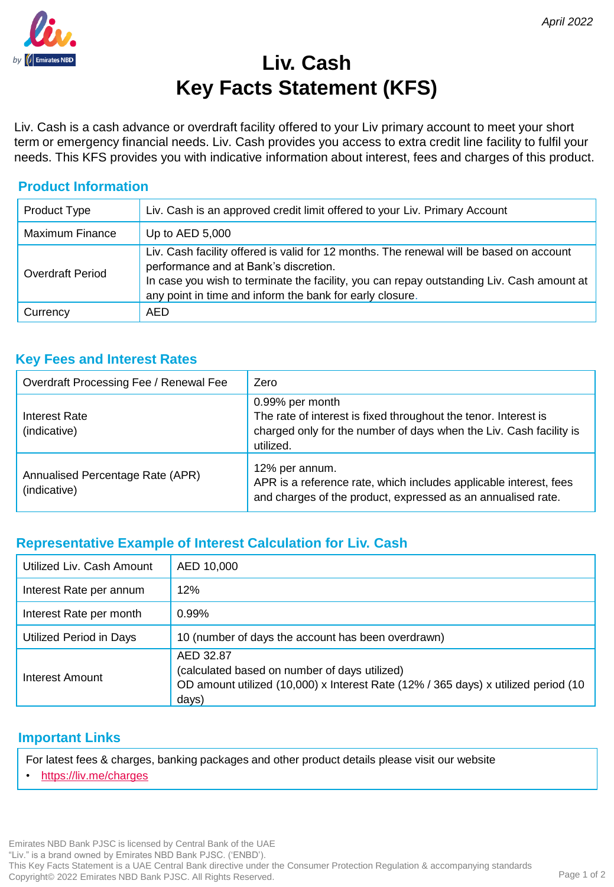# **Liv. Cash Key Facts Statement (KFS)**

Liv. Cash is a cash advance or overdraft facility offered to your Liv primary account to meet your short term or emergency financial needs. Liv. Cash provides you access to extra credit line facility to fulfil your needs. This KFS provides you with indicative information about interest, fees and charges of this product.

## **Product Information**

| <b>Product Type</b> | Liv. Cash is an approved credit limit offered to your Liv. Primary Account                                                                                                                                                                                                                |  |
|---------------------|-------------------------------------------------------------------------------------------------------------------------------------------------------------------------------------------------------------------------------------------------------------------------------------------|--|
| Maximum Finance     | Up to $AED$ 5,000                                                                                                                                                                                                                                                                         |  |
| Overdraft Period    | Liv. Cash facility offered is valid for 12 months. The renewal will be based on account<br>performance and at Bank's discretion.<br>In case you wish to terminate the facility, you can repay outstanding Liv. Cash amount at<br>any point in time and inform the bank for early closure. |  |
| Currency            | AED                                                                                                                                                                                                                                                                                       |  |

### **Key Fees and Interest Rates**

| Overdraft Processing Fee / Renewal Fee           | Zero                                                                                                                                                                  |
|--------------------------------------------------|-----------------------------------------------------------------------------------------------------------------------------------------------------------------------|
| Interest Rate<br>(indicative)                    | 0.99% per month<br>The rate of interest is fixed throughout the tenor. Interest is<br>charged only for the number of days when the Liv. Cash facility is<br>utilized. |
| Annualised Percentage Rate (APR)<br>(indicative) | 12% per annum.<br>APR is a reference rate, which includes applicable interest, fees<br>and charges of the product, expressed as an annualised rate.                   |

# **Representative Example of Interest Calculation for Liv. Cash**

| Utilized Liv. Cash Amount | AED 10,000                                                                                                                                                |
|---------------------------|-----------------------------------------------------------------------------------------------------------------------------------------------------------|
| Interest Rate per annum   | 12%                                                                                                                                                       |
| Interest Rate per month   | $0.99\%$                                                                                                                                                  |
| Utilized Period in Days   | 10 (number of days the account has been overdrawn)                                                                                                        |
| Interest Amount           | AED 32.87<br>(calculated based on number of days utilized)<br>OD amount utilized (10,000) x Interest Rate (12% / 365 days) x utilized period (10<br>days) |

#### **Important Links**

For latest fees & charges, banking packages and other product details please visit our website

• <https://liv.me/charges>

Emirates NBD Bank PJSC is licensed by Central Bank of the UAE "Liv." is a brand owned by Emirates NBD Bank PJSC. ('ENBD'). This Key Facts Statement is a UAE Central Bank directive under the Consumer Protection Regulation & accompanying standards Copyright© 2022 Emirates NBD Bank PJSC. All Rights Reserved.